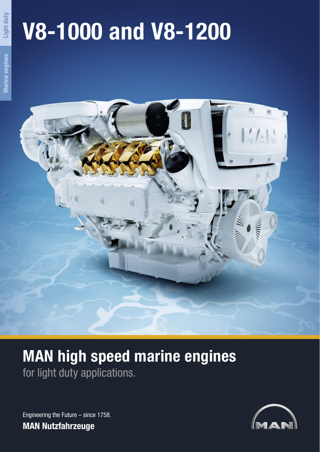# **V8-1000 and V8-1200**

**Light duty**



# **MAN high speed marine engines** for light duty applications.

Engineering the Future – since 1758. **MAN Nutzfahrzeuge**

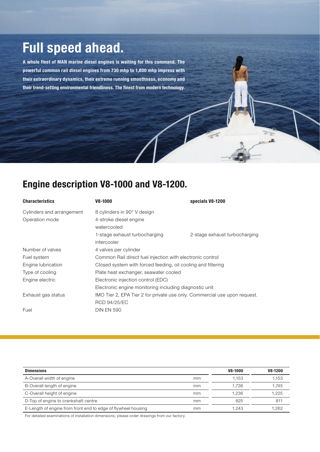## **Full speed ahead.**

**A whole fleet of MAN marine diesel engines is waiting for this command. The powerful common rail diesel engines from 730 mhp to 1,800 mhp impress with their extraordinary dynamics, their extreme running smoothness, economy and their trend-setting environmental friendliness. The finest from modern technology.**

### **Engine description V8-1000 and V8-1200.**

| <b>Characteristics</b>                      | V8-1000                                                                                          | specials V8-1200              |  |
|---------------------------------------------|--------------------------------------------------------------------------------------------------|-------------------------------|--|
| Cylinders and arrangement<br>Operation mode | 8 cylinders in 90° V design<br>4-stroke diesel engine<br>watercooled                             |                               |  |
|                                             | 1-stage exhaust turbocharging<br>intercooler                                                     | 2-stage exhaust turbocharging |  |
| Number of valves                            | 4 valves per cylinder                                                                            |                               |  |
| Fuel system                                 | Common Rail direct fuel injection with electronic control                                        |                               |  |
| Engine lubrication                          | Closed system with forced feeding, oil cooling and filtering                                     |                               |  |
| Type of cooling                             | Plate heat exchanger, seawater cooled                                                            |                               |  |
| Engine electric                             | Electronic injection control (EDC)                                                               |                               |  |
|                                             | Electronic engine monitoring including diagnostic unit                                           |                               |  |
| Exhaust gas status                          | IMO Tier 2, EPA Tier 2 for private use only. Commercial use upon request.<br><b>RCD 94/25/EC</b> |                               |  |
| Fuel                                        | <b>DIN EN 590</b>                                                                                |                               |  |

æ.

| <b>Dimensions</b>                                             |    | V8-1000 | V8-1200 |
|---------------------------------------------------------------|----|---------|---------|
| A-Overall width of engine                                     | mm | 1.153   | 1.153   |
| B-Overall length of engine                                    | mm | 1.736   | 1.745   |
| C-Overall height of engine                                    | mm | 1.236   | 1,225   |
| D-Top of engine to crankshaft centre                          | mm | 825     | 811     |
| E-Length of engine from front end to edge of flywheel housing | mm | 1.243   | 1.262   |

For detailed examinations of installation dimensions, please order drawings from our factory.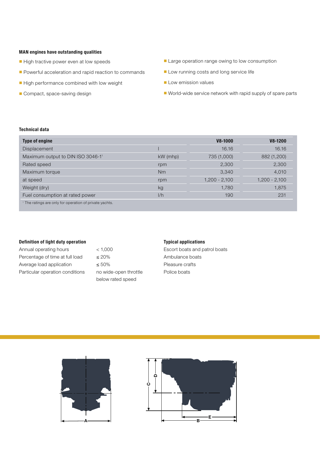#### **MAN engines have outstanding qualities**

- High tractive power even at low speeds
- Powerful acceleration and rapid reaction to commands
- High performance combined with low weight
- Compact, space-saving design
- Large operation range owing to low consumption
- Low running costs and long service life
- Low emission values
- World-wide service network with rapid supply of spare parts

#### **Technical data**

| <b>Type of engine</b>                                              |            | V8-1000         | V8-1200         |
|--------------------------------------------------------------------|------------|-----------------|-----------------|
| <b>Displacement</b>                                                |            | 16.16           | 16.16           |
| Maximum output to DIN ISO 3046-11                                  | $kW$ (mhp) | 735 (1,000)     | 882 (1,200)     |
| Rated speed                                                        | rpm        | 2,300           | 2,300           |
| Maximum torque                                                     | Nm         | 3,340           | 4,010           |
| at speed                                                           | rpm        | $1,200 - 2,100$ | $1,200 - 2,100$ |
| Weight (dry)                                                       | kg         | 1,780           | 1,875           |
| Fuel consumption at rated power                                    | 1/h        | 190             | 231             |
| <sup>1</sup> The ratings are only for operation of private yachts. |            |                 |                 |

#### **Definition of light duty operation**

Annual operating hours < 1,000 Percentage of time at full load  $\leq 20\%$ Average load application  $\leq 50\%$ Particular operation conditions no wide-open throttle

below rated speed

#### **Typical applications**

Escort boats and patrol boats Ambulance boats Pleasure crafts Police boats